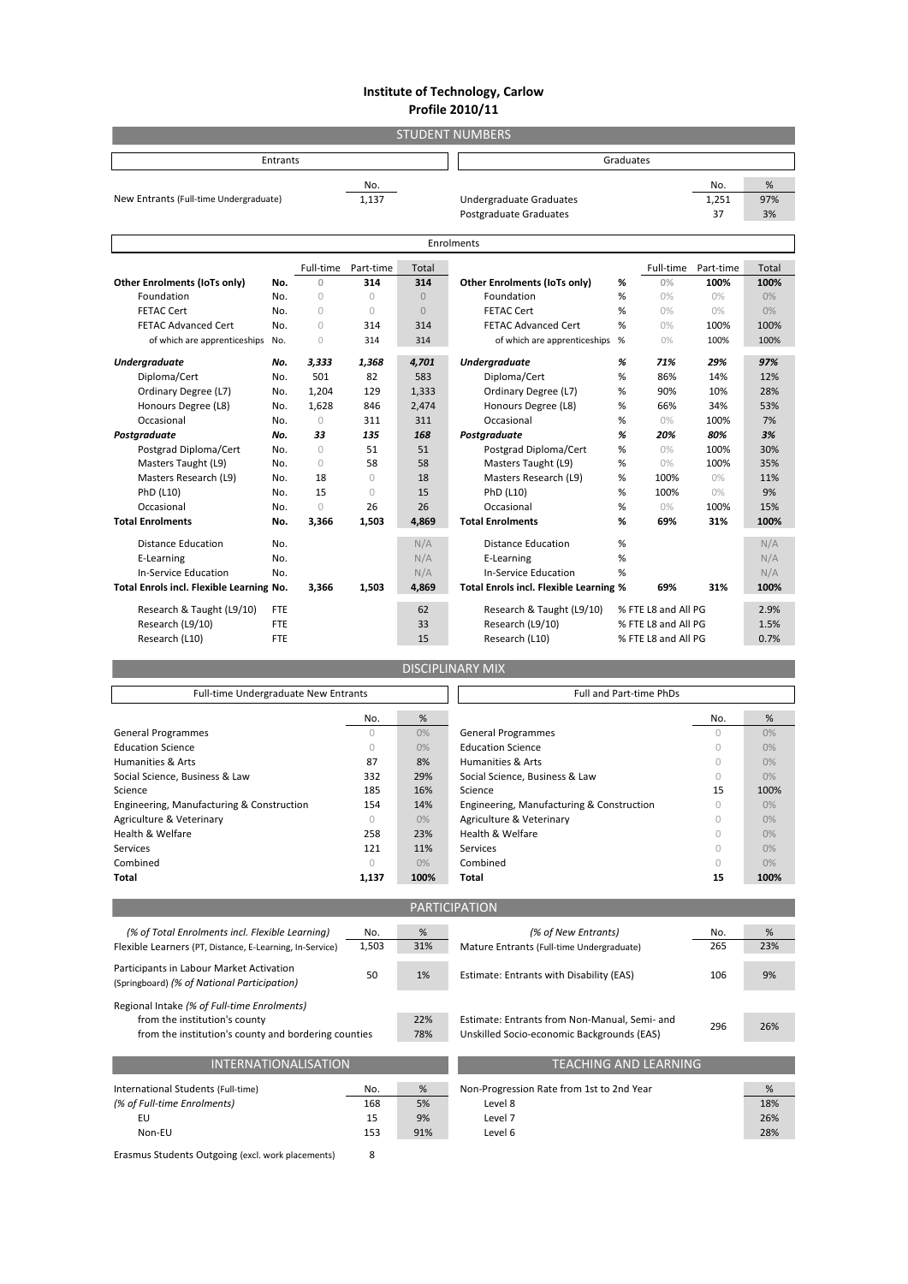## **Institute of Technology, Carlow Profile 2010/11**

| <b>STUDENT NUMBERS</b>                   |            |            |            |                                |                                                  |   |           |           |       |
|------------------------------------------|------------|------------|------------|--------------------------------|--------------------------------------------------|---|-----------|-----------|-------|
| <b>Entrants</b>                          |            |            |            |                                | Graduates                                        |   |           |           |       |
|                                          |            |            | No.        |                                |                                                  |   |           | No.       | %     |
| New Entrants (Full-time Undergraduate)   |            | 1,137      |            | <b>Undergraduate Graduates</b> |                                                  |   | 1,251     | 97%       |       |
|                                          |            |            |            |                                | <b>Postgraduate Graduates</b>                    |   |           | 37        | 3%    |
| Enrolments                               |            |            |            |                                |                                                  |   |           |           |       |
|                                          |            | Full-time  | Part-time  | <b>Total</b>                   |                                                  |   | Full-time | Part-time | Total |
| Other Enrolments (IoTs only)             | No.        | $\Omega$   | 314        | 314                            | Other Enrolments (IoTs only)                     | % | 0%        | 100%      | 100%  |
| Foundation                               | No.        | $\cup$     | $\bigcap$  | $\Omega$                       | Foundation                                       | % | 0%        | 0%        | 0%    |
| <b>FETAC Cert</b>                        | No.        | $\cap$     | $\bigcap$  | $\Omega$                       | FETAC Cert                                       | % | 0%        | $0\%$     | 0%    |
| <b>FETAC Advanced Cert</b>               | No.        | $\cup$     | 314        | 314                            | <b>FETAC Advanced Cert</b>                       | % | 0%        | 100%      | 100%  |
| of which are apprenticeships             | No.        | $\bigcap$  | 314        | 314                            | of which are apprenticeships                     | % | 0%        | 100%      | 100%  |
|                                          |            |            |            |                                |                                                  |   |           |           |       |
| <b>Undergraduate</b>                     | No.        | 3,333      | 1,368      | 4,701                          | <b>Undergraduate</b>                             | % | 71%       | 29%       | 97%   |
| Diploma/Cert                             | No.        | 501        | 82         | 583                            | Diploma/Cert                                     | % | 86%       | 14%       | 12%   |
| Ordinary Degree (L7)                     | No.        | 1,204      | 129        | 1,333                          | Ordinary Degree (L7)                             | % | 90%       | 10%       | 28%   |
| Honours Degree (L8)                      | No.        | 1,628      | 846        | 2,474                          | Honours Degree (L8)                              | % | 66%       | 34%       | 53%   |
| Occasional                               | No.        | $\circ$    | 311        | 311                            | Occasional                                       | % | 0%        | 100%      | 7%    |
| Postgraduate                             | No.        | 33         | 135        | 168                            | Postgraduate                                     | % | 20%       | 80%       | 3%    |
| Postgrad Diploma/Cert                    | No.        | $\bigcap$  | 51         | 51                             | Postgrad Diploma/Cert                            | % | 0%        | 100%      | 30%   |
| Masters Taught (L9)                      | No.        | $\cup$     | 58         | 58                             | Masters Taught (L9)                              | % | 0%        | 100%      | 35%   |
| Masters Research (L9)                    | No.        | 18         | $\bigcap$  | 18                             | Masters Research (L9)                            | % | 100%      | 0%        | 11%   |
| PhD (L10)                                | No.        | 15         | $\bigcirc$ | 15                             | PhD (L10)                                        | % | 100%      | $0\%$     | 9%    |
| Occasional                               | No.        | $\bigcirc$ | 26         | 26                             | Occasional                                       | % | 0%        | 100%      | 15%   |
| <b>Total Enrolments</b>                  | No.        | 3,366      | 1,503      | 4.869                          | <b>Total Enrolments</b>                          | % | 69%       | 31%       | 100%  |
| <b>Distance Education</b>                | No.        |            |            | N/A                            | <b>Distance Education</b>                        | % |           |           | N/A   |
| E-Learning                               | No.        |            |            | N/A                            | E-Learning                                       | % |           |           | N/A   |
| <b>In-Service Education</b>              | No.        |            |            | N/A                            | <b>In-Service Education</b>                      | % |           |           | N/A   |
| Total Enrols incl. Flexible Learning No. |            | 3,366      | 1,503      | 4.869                          | Total Enrols incl. Flexible Learning %           |   | 69%       | 31%       | 100%  |
| Research & Taught (L9/10)                | FTE        |            |            | 62                             | Research & Taught (L9/10)<br>% FTE L8 and All PG |   |           | 2.9%      |       |
| Research (L9/10)                         | <b>FTE</b> |            |            | 33                             | Research (L9/10)<br>% FTE L8 and All PG          |   | 1.5%      |           |       |
| Research (L10)                           | <b>FTE</b> |            |            | 15                             | Research (L10)<br>% FTE L8 and All PG            |   |           | 0.7%      |       |
|                                          |            |            |            |                                |                                                  |   |           |           |       |

DISCIPLINARY MIX

| Full-time Undergraduate New Entrants                                                    |           |       | <b>Full and Part-time PhDs</b>                |            |       |  |
|-----------------------------------------------------------------------------------------|-----------|-------|-----------------------------------------------|------------|-------|--|
|                                                                                         | No.       | %     |                                               | No.        | %     |  |
| <b>General Programmes</b>                                                               | $\bigcap$ | 0%    | <b>General Programmes</b>                     | $\bigcirc$ | 0%    |  |
| <b>Education Science</b>                                                                | $\bigcap$ | 0%    | <b>Education Science</b>                      | $\bigcap$  | $0\%$ |  |
| Humanities & Arts                                                                       | 87        | 8%    | Humanities & Arts                             | 0          | $0\%$ |  |
| Social Science, Business & Law                                                          | 332       | 29%   | Social Science, Business & Law                | $\bigcap$  | 0%    |  |
| Science                                                                                 | 185       | 16%   | Science                                       | 15         | 100%  |  |
| Engineering, Manufacturing & Construction                                               | 154       | 14%   | Engineering, Manufacturing & Construction     | 0          | 0%    |  |
| Agriculture & Veterinary                                                                | $\bigcap$ | $0\%$ | Agriculture & Veterinary                      | 0          | 0%    |  |
| Health & Welfare                                                                        | 258       | 23%   | Health & Welfare                              | $\bigcap$  | 0%    |  |
| Services                                                                                | 121       | 11%   | Services                                      | 0          | $0\%$ |  |
| Combined                                                                                | $\circ$   | $0\%$ | Combined                                      | $\bigcap$  | 0%    |  |
| Total                                                                                   | 1,137     | 100%  | <b>Total</b>                                  | 15         | 100%  |  |
|                                                                                         |           |       |                                               |            |       |  |
|                                                                                         |           |       | <b>PARTICIPATION</b>                          |            |       |  |
| (% of Total Enrolments incl. Flexible Learning)                                         | No.       | %     | (% of New Entrants)                           | No.        | %     |  |
| Flexible Learners (PT, Distance, E-Learning, In-Service)                                | 1,503     | 31%   | Mature Entrants (Full-time Undergraduate)     | 265        | 23%   |  |
| Participants in Labour Market Activation<br>(Springboard) (% of National Participation) | 50        | 1%    | Estimate: Entrants with Disability (EAS)      | 106        | 9%    |  |
| Regional Intake (% of Full-time Enrolments)                                             |           |       |                                               |            |       |  |
| from the institution's county                                                           |           | 22%   | Estimate: Entrants from Non-Manual, Semi- and | 296        | 26%   |  |
| from the institution's county and bordering counties<br>78%                             |           |       | Unskilled Socio-economic Backgrounds (EAS)    |            |       |  |
| <b>INTERNATIONALISATION</b>                                                             |           |       | TEACHING AND LEARNING                         |            |       |  |
| International Students (Full-time)                                                      | No.       | %     | Non-Progression Rate from 1st to 2nd Year     |            | %     |  |
| (% of Full-time Enrolments)                                                             | 168       | 5%    | Level 8                                       |            | 18%   |  |
| EU                                                                                      | 15        | 9%    | Level 7                                       |            | 26%   |  |
| Non-EU                                                                                  |           | 91%   | Level 6                                       |            | 28%   |  |
|                                                                                         |           |       |                                               |            |       |  |

Erasmus Students Outgoing (excl. work placements) 8